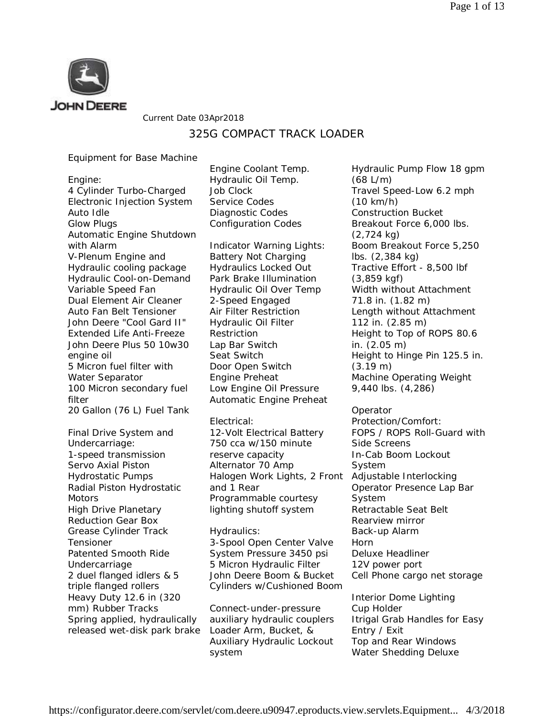

Current Date 03Apr2018

## 325G COMPACT TRACK LOADER

### Equipment for Base Machine

Engine: 4 Cylinder Turbo-Charged Electronic Injection System Auto Idle Glow Plugs Automatic Engine Shutdown with Alarm V-Plenum Engine and Hydraulic cooling package Hydraulic Cool-on-Demand Variable Speed Fan Dual Element Air Cleaner Auto Fan Belt Tensioner John Deere "Cool Gard II" Extended Life Anti-Freeze John Deere Plus 50 10w30 engine oil 5 Micron fuel filter with Water Separator 100 Micron secondary fuel filter 20 Gallon (76 L) Fuel Tank

Final Drive System and Undercarriage: 1-speed transmission Servo Axial Piston Hydrostatic Pumps Radial Piston Hydrostatic **Motors** High Drive Planetary Reduction Gear Box Grease Cylinder Track Tensioner Patented Smooth Ride Undercarriage 2 duel flanged idlers & 5 triple flanged rollers Heavy Duty 12.6 in (320 mm) Rubber Tracks Spring applied, hydraulically released wet-disk park brake Engine Coolant Temp. Hydraulic Oil Temp. Job Clock Service Codes Diagnostic Codes Configuration Codes

Indicator Warning Lights: Battery Not Charging Hydraulics Locked Out Park Brake Illumination Hydraulic Oil Over Temp 2-Speed Engaged Air Filter Restriction Hydraulic Oil Filter Restriction Lap Bar Switch Seat Switch Door Open Switch Engine Preheat Low Engine Oil Pressure Automatic Engine Preheat

#### Electrical:

12-Volt Electrical Battery 750 cca w/150 minute reserve capacity Alternator 70 Amp Halogen Work Lights, 2 Front and 1 Rear Programmable courtesy lighting shutoff system

#### Hydraulics:

3-Spool Open Center Valve System Pressure 3450 psi 5 Micron Hydraulic Filter John Deere Boom & Bucket Cylinders w/Cushioned Boom

Connect-under-pressure auxiliary hydraulic couplers Loader Arm, Bucket, & Auxiliary Hydraulic Lockout system

Hydraulic Pump Flow 18 gpm (68 L/m) Travel Speed-Low 6.2 mph (10 km/h) Construction Bucket Breakout Force 6,000 lbs. (2,724 kg) Boom Breakout Force 5,250 lbs. (2,384 kg) Tractive Effort - 8,500 lbf (3,859 kgf) Width without Attachment 71.8 in. (1.82 m) Length without Attachment 112 in. (2.85 m) Height to Top of ROPS 80.6 in. (2.05 m) Height to Hinge Pin 125.5 in. (3.19 m) Machine Operating Weight 9,440 lbs. (4,286)

**Operator** Protection/Comfort: FOPS / ROPS Roll-Guard with Side Screens In-Cab Boom Lockout System Adjustable Interlocking Operator Presence Lap Bar **System** Retractable Seat Belt Rearview mirror Back-up Alarm Horn Deluxe Headliner 12V power port Cell Phone cargo net storage Interior Dome Lighting Cup Holder Itrigal Grab Handles for Easy

Entry / Exit Top and Rear Windows Water Shedding Deluxe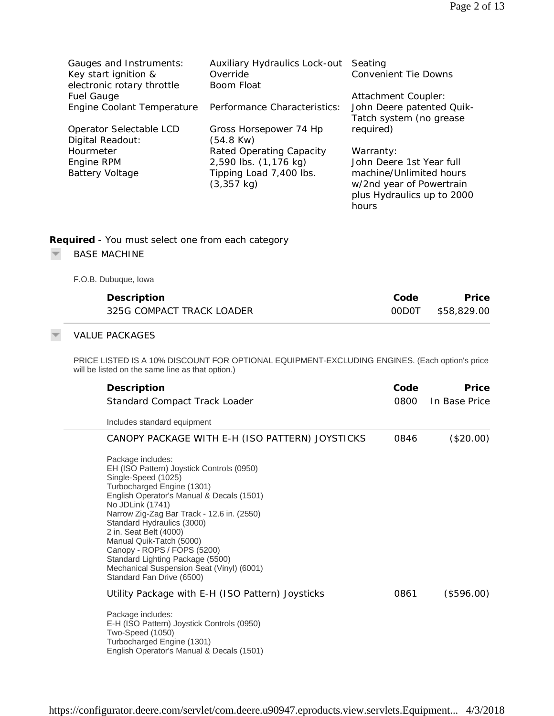| Gauges and Instruments:<br>Key start ignition &<br>electronic rotary throttle<br><b>Fuel Gauge</b><br>Engine Coolant Temperature<br>Operator Selectable LCD<br>Digital Readout:<br>Hourmeter<br>Engine RPM<br><b>Battery Voltage</b>                                                                                                                                                                                                                                | Auxiliary Hydraulics Lock-out Seating<br>Override<br><b>Boom Float</b><br>Performance Characteristics:<br>Gross Horsepower 74 Hp<br>$(54.8$ Kw $)$<br><b>Rated Operating Capacity</b><br>2,590 lbs. (1,176 kg)<br>Tipping Load 7,400 lbs.<br>$(3, 357$ kg) | <b>Convenient Tie Downs</b><br>Attachment Coupler:<br>John Deere patented Quik-<br>Tatch system (no grease<br>required)<br>Warranty:<br>John Deere 1st Year full<br>machine/Unlimited hours<br>w/2nd year of Powertrain<br>plus Hydraulics up to 2000<br>hours |                      |  |
|---------------------------------------------------------------------------------------------------------------------------------------------------------------------------------------------------------------------------------------------------------------------------------------------------------------------------------------------------------------------------------------------------------------------------------------------------------------------|------------------------------------------------------------------------------------------------------------------------------------------------------------------------------------------------------------------------------------------------------------|----------------------------------------------------------------------------------------------------------------------------------------------------------------------------------------------------------------------------------------------------------------|----------------------|--|
| Required - You must select one from each category<br><b>BASE MACHINE</b>                                                                                                                                                                                                                                                                                                                                                                                            |                                                                                                                                                                                                                                                            |                                                                                                                                                                                                                                                                |                      |  |
| F.O.B. Dubuque, Iowa                                                                                                                                                                                                                                                                                                                                                                                                                                                |                                                                                                                                                                                                                                                            |                                                                                                                                                                                                                                                                |                      |  |
| Description<br>325G COMPACT TRACK LOADER                                                                                                                                                                                                                                                                                                                                                                                                                            |                                                                                                                                                                                                                                                            |                                                                                                                                                                                                                                                                | Price<br>\$58,829.00 |  |
| <b>VALUE PACKAGES</b>                                                                                                                                                                                                                                                                                                                                                                                                                                               |                                                                                                                                                                                                                                                            |                                                                                                                                                                                                                                                                |                      |  |
| PRICE LISTED IS A 10% DISCOUNT FOR OPTIONAL EQUIPMENT-EXCLUDING ENGINES. (Each option's price<br>will be listed on the same line as that option.)                                                                                                                                                                                                                                                                                                                   |                                                                                                                                                                                                                                                            |                                                                                                                                                                                                                                                                |                      |  |
| Description                                                                                                                                                                                                                                                                                                                                                                                                                                                         | Code                                                                                                                                                                                                                                                       | Price                                                                                                                                                                                                                                                          |                      |  |
| Standard Compact Track Loader                                                                                                                                                                                                                                                                                                                                                                                                                                       | 0800                                                                                                                                                                                                                                                       | In Base Price                                                                                                                                                                                                                                                  |                      |  |
| Includes standard equipment                                                                                                                                                                                                                                                                                                                                                                                                                                         |                                                                                                                                                                                                                                                            |                                                                                                                                                                                                                                                                |                      |  |
| CANOPY PACKAGE WITH E-H (ISO PATTERN) JOYSTICKS<br>0846<br>(\$20.00)                                                                                                                                                                                                                                                                                                                                                                                                |                                                                                                                                                                                                                                                            |                                                                                                                                                                                                                                                                |                      |  |
| Package includes:<br>EH (ISO Pattern) Joystick Controls (0950)<br>Single-Speed (1025)<br>Turbocharged Engine (1301)<br>English Operator's Manual & Decals (1501)<br>No JDLink (1741)<br>Narrow Zig-Zag Bar Track - 12.6 in. (2550)<br>Standard Hydraulics (3000)<br>2 in. Seat Belt (4000)<br>Manual Quik-Tatch (5000)<br>Canopy - ROPS / FOPS (5200)<br>Standard Lighting Package (5500)<br>Mechanical Suspension Seat (Vinyl) (6001)<br>Standard Fan Drive (6500) |                                                                                                                                                                                                                                                            |                                                                                                                                                                                                                                                                |                      |  |
|                                                                                                                                                                                                                                                                                                                                                                                                                                                                     | Utility Package with E-H (ISO Pattern) Joysticks                                                                                                                                                                                                           | 0861                                                                                                                                                                                                                                                           | (\$596.00)           |  |
| Package includes:<br>E-H (ISO Pattern) Joystick Controls (0950)<br>Two-Speed (1050)<br>Turbocharged Engine (1301)<br>English Operator's Manual & Decals (1501)                                                                                                                                                                                                                                                                                                      |                                                                                                                                                                                                                                                            |                                                                                                                                                                                                                                                                |                      |  |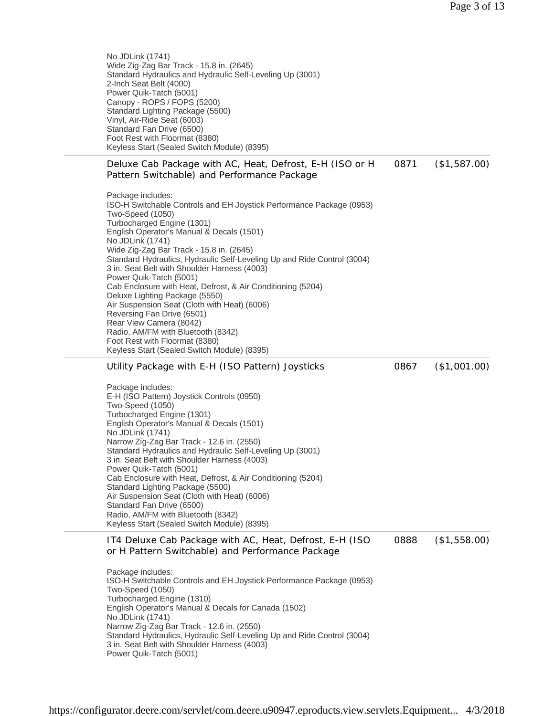No JDLink (1741) Wide Zig-Zag Bar Track - 15.8 in. (2645) Standard Hydraulics and Hydraulic Self-Leveling Up (3001) 2-Inch Seat Belt (4000) Power Quik-Tatch (5001) Canopy - ROPS / FOPS (5200) Standard Lighting Package (5500) Vinyl, Air-Ride Seat (6003) Standard Fan Drive (6500) Foot Rest with Floormat (8380) Keyless Start (Sealed Switch Module) (8395)

Deluxe Cab Package with AC, Heat, Defrost, E-H (ISO or H Pattern Switchable) and Performance Package 0871 (\$1,587.00)

Package includes: ISO-H Switchable Controls and EH Joystick Performance Package (0953) Two-Speed (1050) Turbocharged Engine (1301) English Operator's Manual & Decals (1501) No JDLink (1741) Wide Zig-Zag Bar Track - 15.8 in. (2645) Standard Hydraulics, Hydraulic Self-Leveling Up and Ride Control (3004) 3 in. Seat Belt with Shoulder Harness (4003) Power Quik-Tatch (5001) Cab Enclosure with Heat, Defrost, & Air Conditioning (5204) Deluxe Lighting Package (5550) Air Suspension Seat (Cloth with Heat) (6006) Reversing Fan Drive (6501) Rear View Camera (8042) Radio, AM/FM with Bluetooth (8342) Foot Rest with Floormat (8380) Keyless Start (Sealed Switch Module) (8395)

Utility Package with E-H (ISO Pattern) Joysticks

0867 (\$1,001.00)

Package includes: E-H (ISO Pattern) Joystick Controls (0950) Two-Speed (1050) Turbocharged Engine (1301) English Operator's Manual & Decals (1501) No JDLink (1741) Narrow Zig-Zag Bar Track - 12.6 in. (2550) Standard Hydraulics and Hydraulic Self-Leveling Up (3001) 3 in. Seat Belt with Shoulder Harness (4003) Power Quik-Tatch (5001) Cab Enclosure with Heat, Defrost, & Air Conditioning (5204) Standard Lighting Package (5500) Air Suspension Seat (Cloth with Heat) (6006) Standard Fan Drive (6500) Radio, AM/FM with Bluetooth (8342) Keyless Start (Sealed Switch Module) (8395)

IT4 Deluxe Cab Package with AC, Heat, Defrost, E-H (ISO or H Pattern Switchable) and Performance Package 0888 (\$1,558.00)

Package includes: ISO-H Switchable Controls and EH Joystick Performance Package (0953) Two-Speed (1050) Turbocharged Engine (1310) English Operator's Manual & Decals for Canada (1502) No JDLink (1741) Narrow Zig-Zag Bar Track - 12.6 in. (2550) Standard Hydraulics, Hydraulic Self-Leveling Up and Ride Control (3004) 3 in. Seat Belt with Shoulder Harness (4003) Power Quik-Tatch (5001)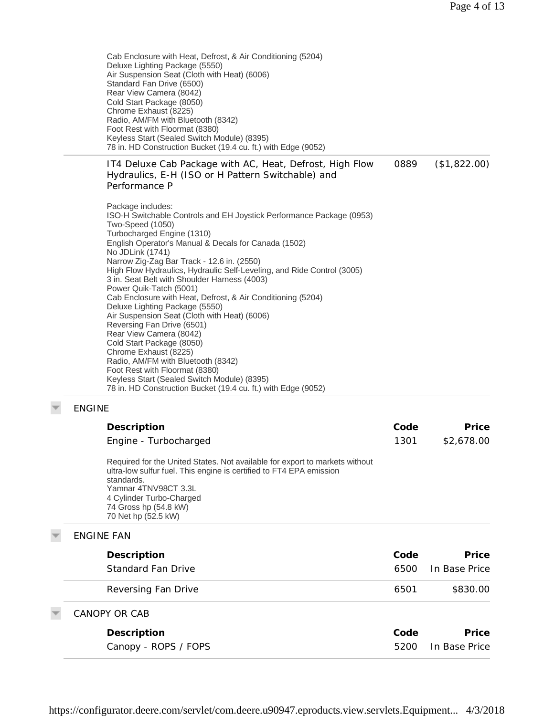Cab Enclosure with Heat, Defrost, & Air Conditioning (5204) Deluxe Lighting Package (5550) Air Suspension Seat (Cloth with Heat) (6006) Standard Fan Drive (6500) Rear View Camera (8042) Cold Start Package (8050) Chrome Exhaust (8225) Radio, AM/FM with Bluetooth (8342) Foot Rest with Floormat (8380) Keyless Start (Sealed Switch Module) (8395) 78 in. HD Construction Bucket (19.4 cu. ft.) with Edge (9052)

IT4 Deluxe Cab Package with AC, Heat, Defrost, High Flow Hydraulics, E-H (ISO or H Pattern Switchable) and Performance P 0889 (\$1,822.00)

Package includes: ISO-H Switchable Controls and EH Joystick Performance Package (0953) Two-Speed (1050) Turbocharged Engine (1310) English Operator's Manual & Decals for Canada (1502) No JDLink (1741) Narrow Zig-Zag Bar Track - 12.6 in. (2550) High Flow Hydraulics, Hydraulic Self-Leveling, and Ride Control (3005) 3 in. Seat Belt with Shoulder Harness (4003) Power Quik-Tatch (5001) Cab Enclosure with Heat, Defrost, & Air Conditioning (5204) Deluxe Lighting Package (5550) Air Suspension Seat (Cloth with Heat) (6006) Reversing Fan Drive (6501) Rear View Camera (8042) Cold Start Package (8050) Chrome Exhaust (8225) Radio, AM/FM with Bluetooth (8342) Foot Rest with Floormat (8380) Keyless Start (Sealed Switch Module) (8395) 78 in. HD Construction Bucket (19.4 cu. ft.) with Edge (9052)

#### ENGINE

| Description<br>Engine - Turbocharged                                                                                                                                                                                                                                 | Code<br>1301 | Price<br>\$2,678.00 |
|----------------------------------------------------------------------------------------------------------------------------------------------------------------------------------------------------------------------------------------------------------------------|--------------|---------------------|
| Required for the United States. Not available for export to markets without<br>ultra-low sulfur fuel. This engine is certified to FT4 EPA emission<br>standards.<br>Yamnar 4TNV98CT 3.3L<br>4 Cylinder Turbo-Charged<br>74 Gross hp (54.8 kW)<br>70 Net hp (52.5 kW) |              |                     |
| <b>ENGINE FAN</b>                                                                                                                                                                                                                                                    |              |                     |
| Description                                                                                                                                                                                                                                                          | Code         | Price               |
| Standard Fan Drive                                                                                                                                                                                                                                                   | 6500         | In Base Price       |
| Reversing Fan Drive                                                                                                                                                                                                                                                  | 6501         | \$830.00            |
| CANOPY OR CAB                                                                                                                                                                                                                                                        |              |                     |
| Description                                                                                                                                                                                                                                                          | Code         | Price               |
| Canopy - ROPS / FOPS                                                                                                                                                                                                                                                 | 5200         | In Base Price       |
|                                                                                                                                                                                                                                                                      |              |                     |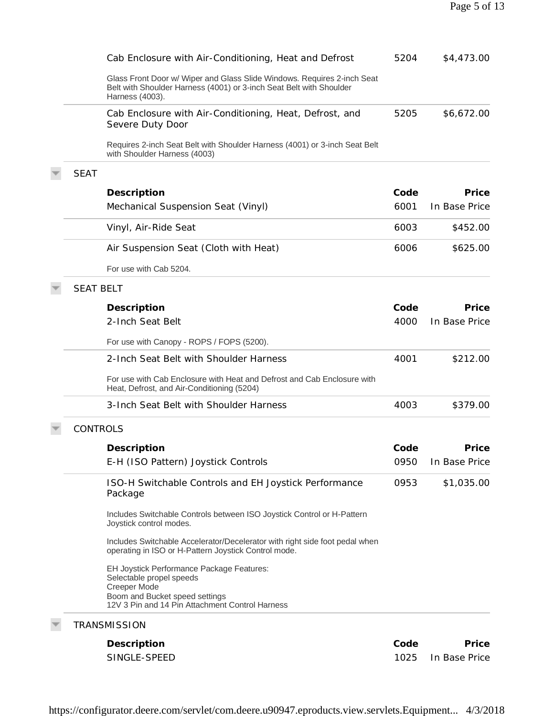| Cab Enclosure with Air-Conditioning, Heat and Defrost                                                                                                                      | 5204 | \$4,473.00    |
|----------------------------------------------------------------------------------------------------------------------------------------------------------------------------|------|---------------|
| Glass Front Door w/ Wiper and Glass Slide Windows. Requires 2-inch Seat<br>Belt with Shoulder Harness (4001) or 3-inch Seat Belt with Shoulder<br>Harness (4003).          |      |               |
| Cab Enclosure with Air-Conditioning, Heat, Defrost, and<br>Severe Duty Door                                                                                                | 5205 | \$6,672.00    |
| Requires 2-inch Seat Belt with Shoulder Harness (4001) or 3-inch Seat Belt<br>with Shoulder Harness (4003)                                                                 |      |               |
| <b>SEAT</b>                                                                                                                                                                |      |               |
| Description                                                                                                                                                                | Code | Price         |
| Mechanical Suspension Seat (Vinyl)                                                                                                                                         | 6001 | In Base Price |
| Vinyl, Air-Ride Seat                                                                                                                                                       | 6003 | \$452.00      |
| Air Suspension Seat (Cloth with Heat)                                                                                                                                      | 6006 | \$625.00      |
| For use with Cab 5204.                                                                                                                                                     |      |               |
| <b>SEAT BELT</b>                                                                                                                                                           |      |               |
| Description                                                                                                                                                                | Code | Price         |
| 2-Inch Seat Belt                                                                                                                                                           | 4000 | In Base Price |
| For use with Canopy - ROPS / FOPS (5200).                                                                                                                                  |      |               |
| 2-Inch Seat Belt with Shoulder Harness                                                                                                                                     | 4001 | \$212.00      |
| For use with Cab Enclosure with Heat and Defrost and Cab Enclosure with<br>Heat, Defrost, and Air-Conditioning (5204)                                                      |      |               |
| 3-Inch Seat Belt with Shoulder Harness                                                                                                                                     | 4003 | \$379.00      |
| <b>CONTROLS</b>                                                                                                                                                            |      |               |
| Description                                                                                                                                                                | Code | Price         |
| E-H (ISO Pattern) Joystick Controls                                                                                                                                        | 0950 | In Base Price |
| ISO-H Switchable Controls and EH Joystick Performance<br>Package                                                                                                           | 0953 | \$1,035.00    |
| Includes Switchable Controls between ISO Joystick Control or H-Pattern<br>Joystick control modes.                                                                          |      |               |
| Includes Switchable Accelerator/Decelerator with right side foot pedal when<br>operating in ISO or H-Pattern Joystick Control mode.                                        |      |               |
| EH Joystick Performance Package Features:<br>Selectable propel speeds<br>Creeper Mode<br>Boom and Bucket speed settings<br>12V 3 Pin and 14 Pin Attachment Control Harness |      |               |
| <b>TRANSMISSION</b>                                                                                                                                                        |      |               |
| Description                                                                                                                                                                | Code | Price         |
| SINGLE-SPEED                                                                                                                                                               | 1025 | In Base Price |
|                                                                                                                                                                            |      |               |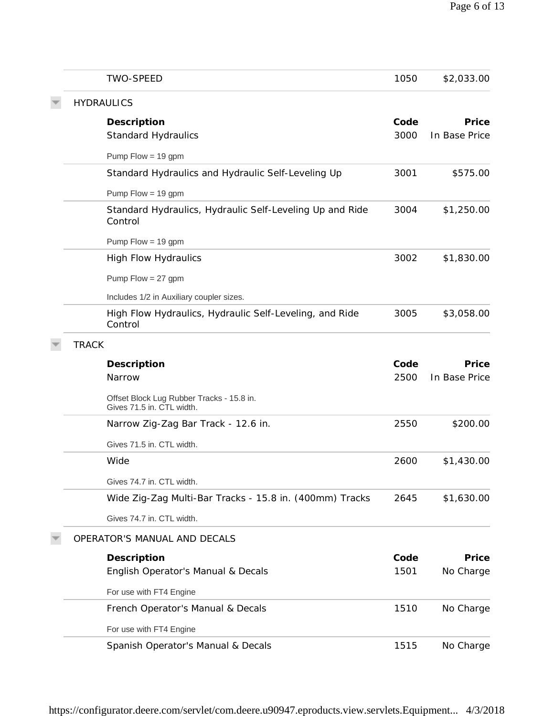| <b>TWO-SPEED</b>                                                       | 1050 | \$2,033.00    |
|------------------------------------------------------------------------|------|---------------|
| <b>HYDRAULICS</b>                                                      |      |               |
| Description                                                            | Code | Price         |
| <b>Standard Hydraulics</b>                                             | 3000 | In Base Price |
| Pump $Flow = 19$ gpm                                                   |      |               |
| Standard Hydraulics and Hydraulic Self-Leveling Up                     | 3001 | \$575.00      |
| Pump $Flow = 19$ gpm                                                   |      |               |
| Standard Hydraulics, Hydraulic Self-Leveling Up and Ride<br>Control    | 3004 | \$1,250.00    |
| Pump $Flow = 19$ gpm                                                   |      |               |
| <b>High Flow Hydraulics</b>                                            | 3002 | \$1,830.00    |
| Pump $Flow = 27$ gpm                                                   |      |               |
| Includes 1/2 in Auxiliary coupler sizes.                               |      |               |
| High Flow Hydraulics, Hydraulic Self-Leveling, and Ride<br>Control     | 3005 | \$3,058.00    |
| <b>TRACK</b>                                                           |      |               |
| Description                                                            | Code | Price         |
| Narrow                                                                 | 2500 | In Base Price |
| Offset Block Lug Rubber Tracks - 15.8 in.<br>Gives 71.5 in. CTL width. |      |               |
| Narrow Zig-Zag Bar Track - 12.6 in.                                    | 2550 | \$200.00      |
| Gives 71.5 in. CTL width.                                              |      |               |
| Wide                                                                   | 2600 | \$1,430.00    |
| Gives 74.7 in. CTL width.                                              |      |               |
| Wide Zig-Zag Multi-Bar Tracks - 15.8 in. (400mm) Tracks                | 2645 | \$1,630.00    |
| Gives 74.7 in. CTL width.                                              |      |               |
| OPERATOR'S MANUAL AND DECALS                                           |      |               |
| Description                                                            | Code | Price         |
| English Operator's Manual & Decals                                     | 1501 | No Charge     |
| For use with FT4 Engine                                                |      |               |
| French Operator's Manual & Decals                                      | 1510 | No Charge     |
| For use with FT4 Engine                                                |      |               |
| Spanish Operator's Manual & Decals                                     | 1515 | No Charge     |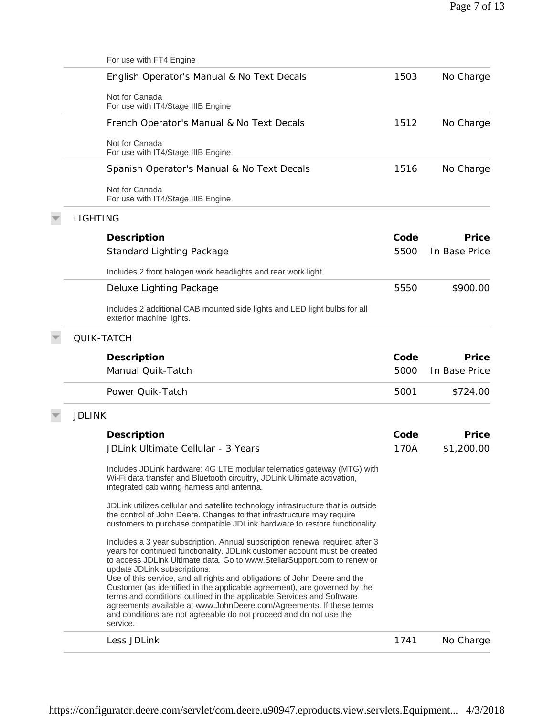| 1503<br>English Operator's Manual & No Text Decals<br>Not for Canada<br>For use with IT4/Stage IIIB Engine<br>1512<br>French Operator's Manual & No Text Decals<br>Not for Canada<br>For use with IT4/Stage IIIB Engine<br>1516<br>Spanish Operator's Manual & No Text Decals<br>Not for Canada<br>For use with IT4/Stage IIIB Engine<br><b>LIGHTING</b><br>Code<br>Description<br>Standard Lighting Package<br>5500<br>Includes 2 front halogen work headlights and rear work light.<br>5550<br>Deluxe Lighting Package<br>Includes 2 additional CAB mounted side lights and LED light bulbs for all<br>exterior machine lights.<br><b>QUIK-TATCH</b><br>Description<br>Code<br>Manual Quik-Tatch<br>5000<br>Power Quik-Tatch<br>5001<br><b>JDLINK</b><br>Code<br>Description<br>JDLink Ultimate Cellular - 3 Years<br>170A<br>Includes JDLink hardware: 4G LTE modular telematics gateway (MTG) with<br>Wi-Fi data transfer and Bluetooth circuitry, JDLink Ultimate activation,<br>integrated cab wiring harness and antenna.<br>JDLink utilizes cellular and satellite technology infrastructure that is outside<br>the control of John Deere. Changes to that infrastructure may require<br>customers to purchase compatible JDLink hardware to restore functionality.<br>Includes a 3 year subscription. Annual subscription renewal required after 3<br>years for continued functionality. JDLink customer account must be created<br>to access JDLink Ultimate data. Go to www.StellarSupport.com to renew or<br>update JDLink subscriptions.<br>Use of this service, and all rights and obligations of John Deere and the<br>Customer (as identified in the applicable agreement), are governed by the<br>terms and conditions outlined in the applicable Services and Software<br>agreements available at www.JohnDeere.com/Agreements. If these terms<br>and conditions are not agreeable do not proceed and do not use the<br>service.<br>Less JDLink<br>1741 | For use with FT4 Engine |               |
|---------------------------------------------------------------------------------------------------------------------------------------------------------------------------------------------------------------------------------------------------------------------------------------------------------------------------------------------------------------------------------------------------------------------------------------------------------------------------------------------------------------------------------------------------------------------------------------------------------------------------------------------------------------------------------------------------------------------------------------------------------------------------------------------------------------------------------------------------------------------------------------------------------------------------------------------------------------------------------------------------------------------------------------------------------------------------------------------------------------------------------------------------------------------------------------------------------------------------------------------------------------------------------------------------------------------------------------------------------------------------------------------------------------------------------------------------------------------------------------------------------------------------------------------------------------------------------------------------------------------------------------------------------------------------------------------------------------------------------------------------------------------------------------------------------------------------------------------------------------------------------------------------------------------------------------------------------------------------|-------------------------|---------------|
|                                                                                                                                                                                                                                                                                                                                                                                                                                                                                                                                                                                                                                                                                                                                                                                                                                                                                                                                                                                                                                                                                                                                                                                                                                                                                                                                                                                                                                                                                                                                                                                                                                                                                                                                                                                                                                                                                                                                                                           |                         | No Charge     |
|                                                                                                                                                                                                                                                                                                                                                                                                                                                                                                                                                                                                                                                                                                                                                                                                                                                                                                                                                                                                                                                                                                                                                                                                                                                                                                                                                                                                                                                                                                                                                                                                                                                                                                                                                                                                                                                                                                                                                                           |                         |               |
|                                                                                                                                                                                                                                                                                                                                                                                                                                                                                                                                                                                                                                                                                                                                                                                                                                                                                                                                                                                                                                                                                                                                                                                                                                                                                                                                                                                                                                                                                                                                                                                                                                                                                                                                                                                                                                                                                                                                                                           |                         | No Charge     |
|                                                                                                                                                                                                                                                                                                                                                                                                                                                                                                                                                                                                                                                                                                                                                                                                                                                                                                                                                                                                                                                                                                                                                                                                                                                                                                                                                                                                                                                                                                                                                                                                                                                                                                                                                                                                                                                                                                                                                                           |                         |               |
|                                                                                                                                                                                                                                                                                                                                                                                                                                                                                                                                                                                                                                                                                                                                                                                                                                                                                                                                                                                                                                                                                                                                                                                                                                                                                                                                                                                                                                                                                                                                                                                                                                                                                                                                                                                                                                                                                                                                                                           |                         | No Charge     |
|                                                                                                                                                                                                                                                                                                                                                                                                                                                                                                                                                                                                                                                                                                                                                                                                                                                                                                                                                                                                                                                                                                                                                                                                                                                                                                                                                                                                                                                                                                                                                                                                                                                                                                                                                                                                                                                                                                                                                                           |                         |               |
|                                                                                                                                                                                                                                                                                                                                                                                                                                                                                                                                                                                                                                                                                                                                                                                                                                                                                                                                                                                                                                                                                                                                                                                                                                                                                                                                                                                                                                                                                                                                                                                                                                                                                                                                                                                                                                                                                                                                                                           |                         |               |
|                                                                                                                                                                                                                                                                                                                                                                                                                                                                                                                                                                                                                                                                                                                                                                                                                                                                                                                                                                                                                                                                                                                                                                                                                                                                                                                                                                                                                                                                                                                                                                                                                                                                                                                                                                                                                                                                                                                                                                           |                         | Price         |
|                                                                                                                                                                                                                                                                                                                                                                                                                                                                                                                                                                                                                                                                                                                                                                                                                                                                                                                                                                                                                                                                                                                                                                                                                                                                                                                                                                                                                                                                                                                                                                                                                                                                                                                                                                                                                                                                                                                                                                           |                         | In Base Price |
|                                                                                                                                                                                                                                                                                                                                                                                                                                                                                                                                                                                                                                                                                                                                                                                                                                                                                                                                                                                                                                                                                                                                                                                                                                                                                                                                                                                                                                                                                                                                                                                                                                                                                                                                                                                                                                                                                                                                                                           |                         |               |
|                                                                                                                                                                                                                                                                                                                                                                                                                                                                                                                                                                                                                                                                                                                                                                                                                                                                                                                                                                                                                                                                                                                                                                                                                                                                                                                                                                                                                                                                                                                                                                                                                                                                                                                                                                                                                                                                                                                                                                           |                         | \$900.00      |
|                                                                                                                                                                                                                                                                                                                                                                                                                                                                                                                                                                                                                                                                                                                                                                                                                                                                                                                                                                                                                                                                                                                                                                                                                                                                                                                                                                                                                                                                                                                                                                                                                                                                                                                                                                                                                                                                                                                                                                           |                         |               |
|                                                                                                                                                                                                                                                                                                                                                                                                                                                                                                                                                                                                                                                                                                                                                                                                                                                                                                                                                                                                                                                                                                                                                                                                                                                                                                                                                                                                                                                                                                                                                                                                                                                                                                                                                                                                                                                                                                                                                                           |                         |               |
|                                                                                                                                                                                                                                                                                                                                                                                                                                                                                                                                                                                                                                                                                                                                                                                                                                                                                                                                                                                                                                                                                                                                                                                                                                                                                                                                                                                                                                                                                                                                                                                                                                                                                                                                                                                                                                                                                                                                                                           |                         | Price         |
|                                                                                                                                                                                                                                                                                                                                                                                                                                                                                                                                                                                                                                                                                                                                                                                                                                                                                                                                                                                                                                                                                                                                                                                                                                                                                                                                                                                                                                                                                                                                                                                                                                                                                                                                                                                                                                                                                                                                                                           |                         | In Base Price |
|                                                                                                                                                                                                                                                                                                                                                                                                                                                                                                                                                                                                                                                                                                                                                                                                                                                                                                                                                                                                                                                                                                                                                                                                                                                                                                                                                                                                                                                                                                                                                                                                                                                                                                                                                                                                                                                                                                                                                                           |                         | \$724.00      |
|                                                                                                                                                                                                                                                                                                                                                                                                                                                                                                                                                                                                                                                                                                                                                                                                                                                                                                                                                                                                                                                                                                                                                                                                                                                                                                                                                                                                                                                                                                                                                                                                                                                                                                                                                                                                                                                                                                                                                                           |                         |               |
|                                                                                                                                                                                                                                                                                                                                                                                                                                                                                                                                                                                                                                                                                                                                                                                                                                                                                                                                                                                                                                                                                                                                                                                                                                                                                                                                                                                                                                                                                                                                                                                                                                                                                                                                                                                                                                                                                                                                                                           |                         | Price         |
|                                                                                                                                                                                                                                                                                                                                                                                                                                                                                                                                                                                                                                                                                                                                                                                                                                                                                                                                                                                                                                                                                                                                                                                                                                                                                                                                                                                                                                                                                                                                                                                                                                                                                                                                                                                                                                                                                                                                                                           |                         | \$1,200.00    |
|                                                                                                                                                                                                                                                                                                                                                                                                                                                                                                                                                                                                                                                                                                                                                                                                                                                                                                                                                                                                                                                                                                                                                                                                                                                                                                                                                                                                                                                                                                                                                                                                                                                                                                                                                                                                                                                                                                                                                                           |                         |               |
|                                                                                                                                                                                                                                                                                                                                                                                                                                                                                                                                                                                                                                                                                                                                                                                                                                                                                                                                                                                                                                                                                                                                                                                                                                                                                                                                                                                                                                                                                                                                                                                                                                                                                                                                                                                                                                                                                                                                                                           |                         |               |
|                                                                                                                                                                                                                                                                                                                                                                                                                                                                                                                                                                                                                                                                                                                                                                                                                                                                                                                                                                                                                                                                                                                                                                                                                                                                                                                                                                                                                                                                                                                                                                                                                                                                                                                                                                                                                                                                                                                                                                           |                         |               |
|                                                                                                                                                                                                                                                                                                                                                                                                                                                                                                                                                                                                                                                                                                                                                                                                                                                                                                                                                                                                                                                                                                                                                                                                                                                                                                                                                                                                                                                                                                                                                                                                                                                                                                                                                                                                                                                                                                                                                                           |                         | No Charge     |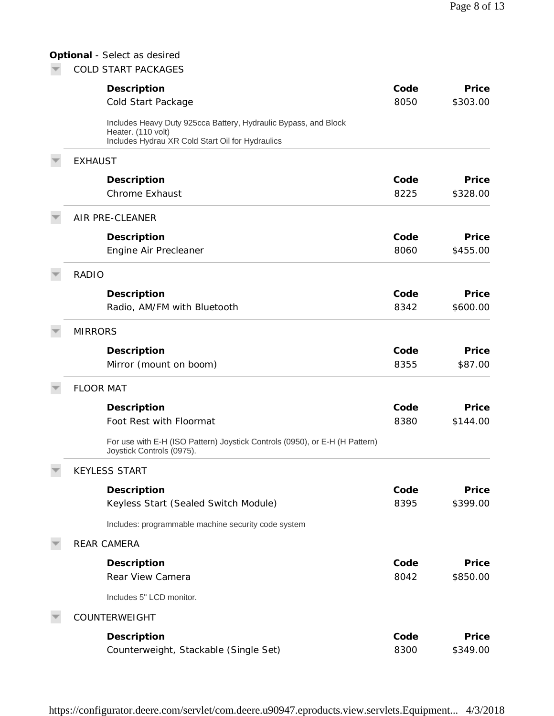# **Optional** *- Select as desired*

 $\blacktriangleright$  COLD START PACKAGES

| Description                                                                                                                               | Code | Price    |
|-------------------------------------------------------------------------------------------------------------------------------------------|------|----------|
| Cold Start Package                                                                                                                        | 8050 | \$303.00 |
| Includes Heavy Duty 925cca Battery, Hydraulic Bypass, and Block<br>Heater. (110 volt)<br>Includes Hydrau XR Cold Start Oil for Hydraulics |      |          |
| <b>EXHAUST</b>                                                                                                                            |      |          |
| Description                                                                                                                               | Code | Price    |
| <b>Chrome Exhaust</b>                                                                                                                     | 8225 | \$328.00 |
| AIR PRE-CLEANER                                                                                                                           |      |          |
| Description                                                                                                                               | Code | Price    |
| Engine Air Precleaner                                                                                                                     | 8060 | \$455.00 |
| <b>RADIO</b>                                                                                                                              |      |          |
| Description                                                                                                                               | Code | Price    |
| Radio, AM/FM with Bluetooth                                                                                                               | 8342 | \$600.00 |
| <b>MIRRORS</b>                                                                                                                            |      |          |
| Description                                                                                                                               | Code | Price    |
| Mirror (mount on boom)                                                                                                                    | 8355 | \$87.00  |
| <b>FLOOR MAT</b>                                                                                                                          |      |          |
| Description                                                                                                                               | Code | Price    |
| Foot Rest with Floormat                                                                                                                   | 8380 | \$144.00 |
| For use with E-H (ISO Pattern) Joystick Controls (0950), or E-H (H Pattern)<br>Joystick Controls (0975).                                  |      |          |
| <b>KEYLESS START</b>                                                                                                                      |      |          |
| Description                                                                                                                               | Code | Price    |
| Keyless Start (Sealed Switch Module)                                                                                                      | 8395 | \$399.00 |
| Includes: programmable machine security code system                                                                                       |      |          |
| <b>REAR CAMERA</b>                                                                                                                        |      |          |
| Description                                                                                                                               | Code | Price    |
| Rear View Camera                                                                                                                          | 8042 | \$850.00 |
| Includes 5" LCD monitor.                                                                                                                  |      |          |
| COUNTERWEIGHT                                                                                                                             |      |          |
| Description                                                                                                                               | Code | Price    |
| Counterweight, Stackable (Single Set)                                                                                                     | 8300 | \$349.00 |

https://configurator.deere.com/servlet/com.deere.u90947.eproducts.view.servlets.Equipment... 4/3/2018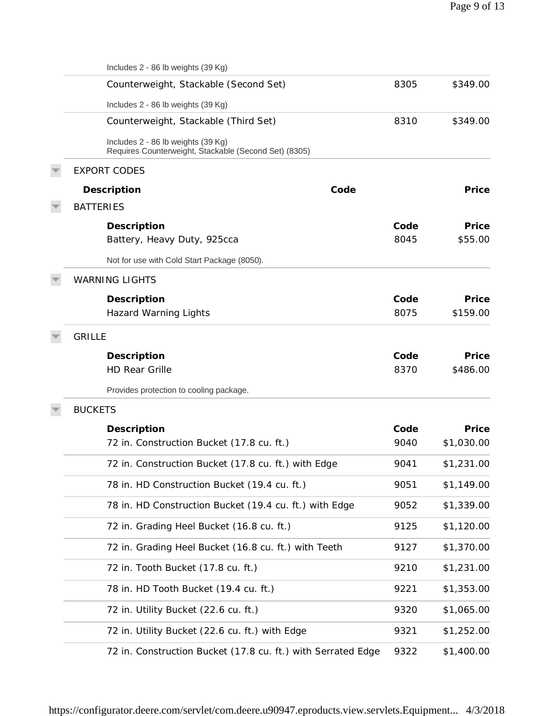| Includes 2 - 86 lb weights (39 Kg)                                                          |              |                   |
|---------------------------------------------------------------------------------------------|--------------|-------------------|
| Counterweight, Stackable (Second Set)                                                       | 8305         | \$349.00          |
| Includes 2 - 86 lb weights (39 Kg)                                                          |              |                   |
| Counterweight, Stackable (Third Set)                                                        | 8310         | \$349.00          |
| Includes 2 - 86 lb weights (39 Kg)<br>Requires Counterweight, Stackable (Second Set) (8305) |              |                   |
| <b>EXPORT CODES</b>                                                                         |              |                   |
| Code<br>Description                                                                         |              | Price             |
| <b>BATTERIES</b>                                                                            |              |                   |
| Description<br>Battery, Heavy Duty, 925cca                                                  | Code<br>8045 | Price<br>\$55.00  |
| Not for use with Cold Start Package (8050).                                                 |              |                   |
| <b>WARNING LIGHTS</b>                                                                       |              |                   |
| Description<br><b>Hazard Warning Lights</b>                                                 | Code<br>8075 | Price<br>\$159.00 |
| <b>GRILLE</b>                                                                               |              |                   |
| Description                                                                                 | Code         | Price             |
| <b>HD Rear Grille</b>                                                                       | 8370         | \$486.00          |
| Provides protection to cooling package.                                                     |              |                   |
| <b>BUCKETS</b>                                                                              |              |                   |
| Description                                                                                 | Code         | Price             |
| 72 in. Construction Bucket (17.8 cu. ft.)                                                   | 9040         | \$1,030.00        |
| 72 in. Construction Bucket (17.8 cu. ft.) with Edge                                         | 9041         | \$1,231.00        |
| 78 in. HD Construction Bucket (19.4 cu. ft.)                                                | 9051         | \$1,149.00        |
| 78 in. HD Construction Bucket (19.4 cu. ft.) with Edge                                      | 9052         | \$1,339.00        |
| 72 in. Grading Heel Bucket (16.8 cu. ft.)                                                   | 9125         | \$1,120.00        |
| 72 in. Grading Heel Bucket (16.8 cu. ft.) with Teeth                                        | 9127         | \$1,370.00        |
| 72 in. Tooth Bucket (17.8 cu. ft.)                                                          | 9210         | \$1,231.00        |
| 78 in. HD Tooth Bucket (19.4 cu. ft.)                                                       | 9221         | \$1,353.00        |
| 72 in. Utility Bucket (22.6 cu. ft.)                                                        | 9320         | \$1,065.00        |
| 72 in. Utility Bucket (22.6 cu. ft.) with Edge                                              | 9321         | \$1,252.00        |
| 72 in. Construction Bucket (17.8 cu. ft.) with Serrated Edge                                | 9322         | \$1,400.00        |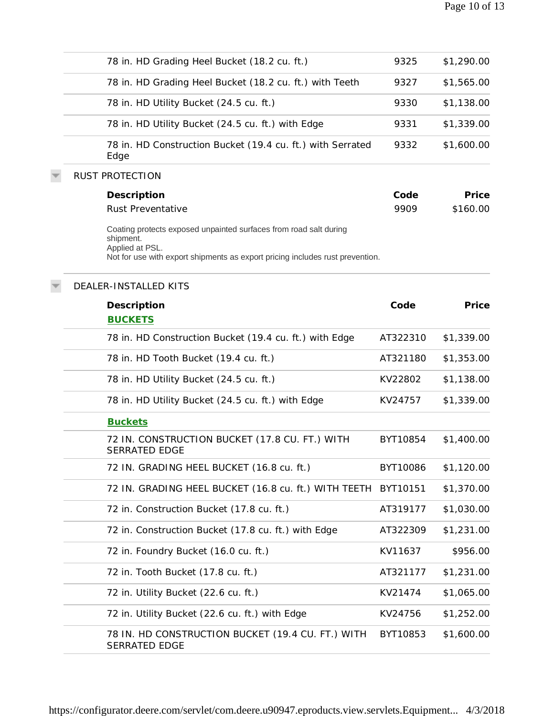| 78 in. HD Grading Heel Bucket (18.2 cu. ft.)                                                                                                                                       | 9325     | \$1,290.00 |
|------------------------------------------------------------------------------------------------------------------------------------------------------------------------------------|----------|------------|
| 78 in. HD Grading Heel Bucket (18.2 cu. ft.) with Teeth                                                                                                                            | 9327     | \$1,565.00 |
| 78 in. HD Utility Bucket (24.5 cu. ft.)                                                                                                                                            | 9330     | \$1,138.00 |
| 78 in. HD Utility Bucket (24.5 cu. ft.) with Edge                                                                                                                                  | 9331     | \$1,339.00 |
| 78 in. HD Construction Bucket (19.4 cu. ft.) with Serrated<br>Edge                                                                                                                 | 9332     | \$1,600.00 |
| <b>RUST PROTECTION</b>                                                                                                                                                             |          |            |
| Description                                                                                                                                                                        | Code     | Price      |
| Rust Preventative                                                                                                                                                                  | 9909     | \$160.00   |
| Coating protects exposed unpainted surfaces from road salt during<br>shipment.<br>Applied at PSL.<br>Not for use with export shipments as export pricing includes rust prevention. |          |            |
| DEALER-INSTALLED KITS                                                                                                                                                              |          |            |
| Description                                                                                                                                                                        | Code     | Price      |
| <b>BUCKETS</b>                                                                                                                                                                     |          |            |
| 78 in. HD Construction Bucket (19.4 cu. ft.) with Edge                                                                                                                             | AT322310 | \$1,339.00 |
| 78 in. HD Tooth Bucket (19.4 cu. ft.)                                                                                                                                              | AT321180 | \$1,353.00 |
| 78 in. HD Utility Bucket (24.5 cu. ft.)                                                                                                                                            | KV22802  | \$1,138.00 |
| 78 in. HD Utility Bucket (24.5 cu. ft.) with Edge                                                                                                                                  | KV24757  | \$1,339.00 |
| <b>Buckets</b>                                                                                                                                                                     |          |            |
| 72 IN. CONSTRUCTION BUCKET (17.8 CU. FT.) WITH<br><b>SERRATED EDGE</b>                                                                                                             | BYT10854 | \$1,400.00 |
| 72 IN. GRADING HEEL BUCKET (16.8 cu. ft.)                                                                                                                                          | BYT10086 | \$1,120.00 |
| 72 IN. GRADING HEEL BUCKET (16.8 cu. ft.) WITH TEETH                                                                                                                               | BYT10151 | \$1,370.00 |
| 72 in. Construction Bucket (17.8 cu. ft.)                                                                                                                                          | AT319177 | \$1,030.00 |
| 72 in. Construction Bucket (17.8 cu. ft.) with Edge                                                                                                                                | AT322309 | \$1,231.00 |
| 72 in. Foundry Bucket (16.0 cu. ft.)                                                                                                                                               | KV11637  | \$956.00   |
| 72 in. Tooth Bucket (17.8 cu. ft.)                                                                                                                                                 | AT321177 | \$1,231.00 |
| 72 in. Utility Bucket (22.6 cu. ft.)                                                                                                                                               | KV21474  | \$1,065.00 |
| 72 in. Utility Bucket (22.6 cu. ft.) with Edge                                                                                                                                     | KV24756  | \$1,252.00 |
| 78 IN. HD CONSTRUCTION BUCKET (19.4 CU. FT.) WITH<br>SERRATED EDGE                                                                                                                 | BYT10853 | \$1,600.00 |
|                                                                                                                                                                                    |          |            |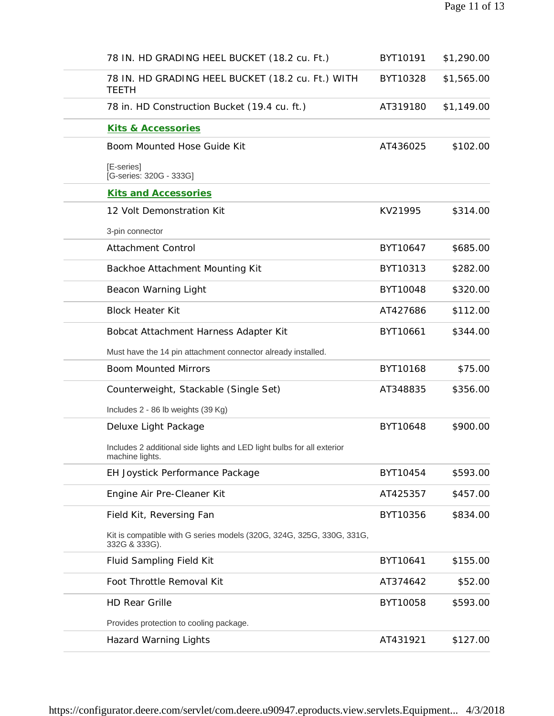| 78 IN. HD GRADING HEEL BUCKET (18.2 cu. Ft.)                                              | BYT10191 | \$1,290.00 |
|-------------------------------------------------------------------------------------------|----------|------------|
| 78 IN. HD GRADING HEEL BUCKET (18.2 cu. Ft.) WITH<br><b>TEETH</b>                         | BYT10328 | \$1,565.00 |
| 78 in. HD Construction Bucket (19.4 cu. ft.)                                              | AT319180 | \$1,149.00 |
| Kits & Accessories                                                                        |          |            |
| Boom Mounted Hose Guide Kit                                                               | AT436025 | \$102.00   |
| [E-series]<br>[G-series: 320G - 333G]                                                     |          |            |
| <b>Kits and Accessories</b>                                                               |          |            |
| 12 Volt Demonstration Kit                                                                 | KV21995  | \$314.00   |
| 3-pin connector                                                                           |          |            |
| <b>Attachment Control</b>                                                                 | BYT10647 | \$685.00   |
| Backhoe Attachment Mounting Kit                                                           | BYT10313 | \$282.00   |
| Beacon Warning Light                                                                      | BYT10048 | \$320.00   |
| <b>Block Heater Kit</b>                                                                   | AT427686 | \$112.00   |
| Bobcat Attachment Harness Adapter Kit                                                     | BYT10661 | \$344.00   |
| Must have the 14 pin attachment connector already installed.                              |          |            |
| <b>Boom Mounted Mirrors</b>                                                               | BYT10168 | \$75.00    |
| Counterweight, Stackable (Single Set)                                                     | AT348835 | \$356.00   |
| Includes 2 - 86 lb weights (39 Kg)                                                        |          |            |
| Deluxe Light Package                                                                      | BYT10648 | \$900.00   |
| Includes 2 additional side lights and LED light bulbs for all exterior<br>machine lights. |          |            |
| EH Joystick Performance Package                                                           | BYT10454 | \$593.00   |
| Engine Air Pre-Cleaner Kit                                                                | AT425357 | \$457.00   |
| Field Kit, Reversing Fan                                                                  | BYT10356 | \$834.00   |
| Kit is compatible with G series models (320G, 324G, 325G, 330G, 331G,<br>332G & 333G).    |          |            |
| Fluid Sampling Field Kit                                                                  | BYT10641 | \$155.00   |
| Foot Throttle Removal Kit                                                                 | AT374642 | \$52.00    |
| <b>HD Rear Grille</b>                                                                     | BYT10058 | \$593.00   |
| Provides protection to cooling package.                                                   |          |            |
| <b>Hazard Warning Lights</b>                                                              | AT431921 | \$127.00   |
|                                                                                           |          |            |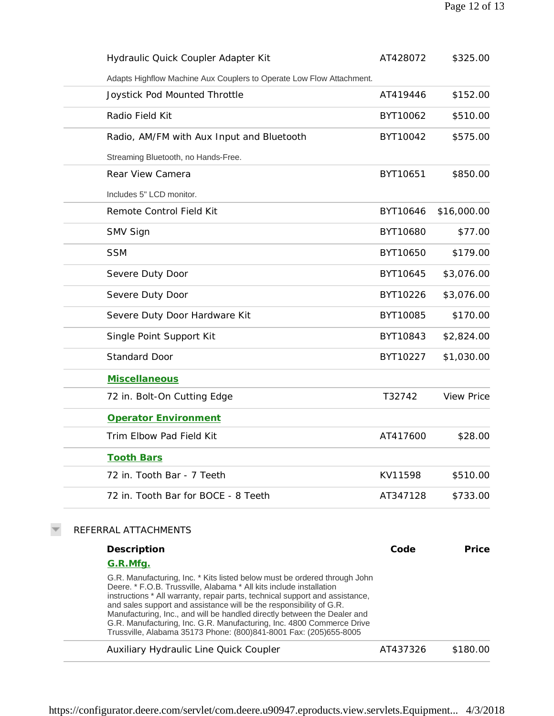| Hydraulic Quick Coupler Adapter Kit                                                                                                              | AT428072 | \$325.00          |
|--------------------------------------------------------------------------------------------------------------------------------------------------|----------|-------------------|
| Adapts Highflow Machine Aux Couplers to Operate Low Flow Attachment.                                                                             |          |                   |
| Joystick Pod Mounted Throttle                                                                                                                    | AT419446 | \$152.00          |
| Radio Field Kit                                                                                                                                  | BYT10062 | \$510.00          |
| Radio, AM/FM with Aux Input and Bluetooth                                                                                                        | BYT10042 | \$575.00          |
| Streaming Bluetooth, no Hands-Free.                                                                                                              |          |                   |
| Rear View Camera                                                                                                                                 | BYT10651 | \$850.00          |
| Includes 5" LCD monitor.                                                                                                                         |          |                   |
| Remote Control Field Kit                                                                                                                         | BYT10646 | \$16,000.00       |
| SMV Sign                                                                                                                                         | BYT10680 | \$77.00           |
| <b>SSM</b>                                                                                                                                       | BYT10650 | \$179.00          |
| Severe Duty Door                                                                                                                                 | BYT10645 | \$3,076.00        |
| Severe Duty Door                                                                                                                                 | BYT10226 | \$3,076.00        |
| Severe Duty Door Hardware Kit                                                                                                                    | BYT10085 | \$170.00          |
| Single Point Support Kit                                                                                                                         | BYT10843 | \$2,824.00        |
| <b>Standard Door</b>                                                                                                                             | BYT10227 | \$1,030.00        |
| Miscellaneous                                                                                                                                    |          |                   |
| 72 in. Bolt-On Cutting Edge                                                                                                                      | T32742   | <b>View Price</b> |
| Operator Environment                                                                                                                             |          |                   |
| Trim Elbow Pad Field Kit                                                                                                                         | AT417600 | \$28.00           |
| <b>Tooth Bars</b>                                                                                                                                |          |                   |
| 72 in. Tooth Bar - 7 Teeth                                                                                                                       | KV11598  | \$510.00          |
| 72 in. Tooth Bar for BOCE - 8 Teeth                                                                                                              | AT347128 | \$733.00          |
| REFERRAL ATTACHMENTS                                                                                                                             |          |                   |
| Description                                                                                                                                      | Code     | Price             |
| <u>G.R.Mfg.</u>                                                                                                                                  |          |                   |
| G.R. Manufacturing, Inc. * Kits listed below must be ordered through John<br>Deere, * F.O.B. Trussville, Alabama * All kits include installation |          |                   |

J.

ł,

l,

 $\overline{\nabla}$ 

Deere. \* F.O.B. Trussville, Alabama \* All kits include installation instructions \* All warranty, repair parts, technical support and assistance, and sales support and assistance will be the responsibility of G.R. Manufacturing, Inc., and will be handled directly between the Dealer and G.R. Manufacturing, Inc. G.R. Manufacturing, Inc. 4800 Commerce Drive Trussville, Alabama 35173 Phone: (800)841-8001 Fax: (205)655-8005

| Auxiliary Hydraulic Line Quick Coupler | AT437326 | \$180.00 |
|----------------------------------------|----------|----------|
|----------------------------------------|----------|----------|